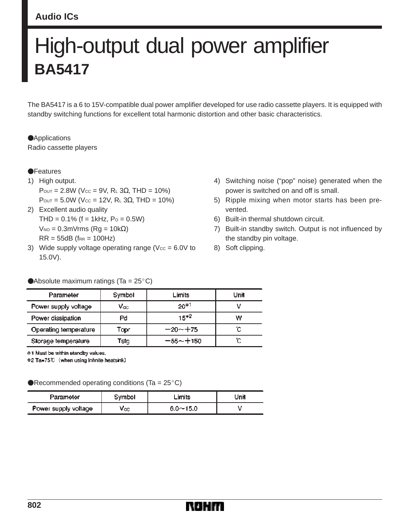#### **Audio ICs**

# High-output dual power amplifier **BA5417**

The BA5417 is a 6 to 15V-compatible dual power amplifier developed for use radio cassette players. It is equipped with standby switching functions for excellent total harmonic distortion and other basic characteristics.

**Applications** Radio cassette players

#### **•**Features

1) High output.  $P_{OUT} = 2.8W$  (Vcc = 9V, R<sub>L</sub> 3Ω, THD = 10%)  $P_{OUT} = 5.0W$  (Vcc = 12V, R<sub>L</sub> 3Ω, THD = 10%)

2) Excellent audio quality  $THD = 0.1\%$  (f = 1kHz, Po = 0.5W)  $V_{NO} = 0.3$ m $V$ rms (Rα = 10kΩ)  $RR = 55dB$  (f $RR = 100Hz$ )

Absolute maximum ratings (Ta =  $25^{\circ}$ C)

- 3) Wide supply voltage operating range ( $Vcc = 6.0V$  to 15.0V).
- 4) Switching noise ("pop" noise) generated when the power is switched on and off is small.
- 5) Ripple mixing when motor starts has been prevented.
- 6) Built-in thermal shutdown circuit.
- 7) Built-in standby switch. Output is not influenced by the standby pin voltage.
- 8) Soft clipping.

| Parameter             | Symbol | Limits      | Unit |
|-----------------------|--------|-------------|------|
| Power supply voltage  | Vœ     | $20*1$      |      |
| Power dissipation     | Pd     | $15*2$      | w    |
| Operating temperature | Topr   | $-20 - +75$ | "С   |
| Storage temperature   | Tstg   | -55~+150    | ΰC   |

\*1 Must be within standby values. \*2 Ta=75℃ (when using infinite heatsink)

Recommended operating conditions (Ta =  $25^{\circ}$ C)

| Parameter            | Symbol | ∟imits       | Jnil |
|----------------------|--------|--------------|------|
| Power supply voltage | Vœ     | $6.0 - 15.0$ |      |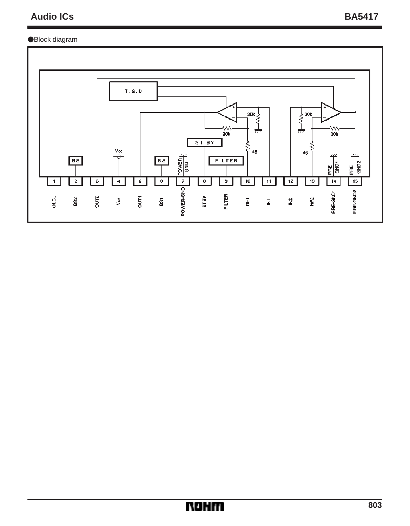# Audio ICs BA5417

#### Block diagram



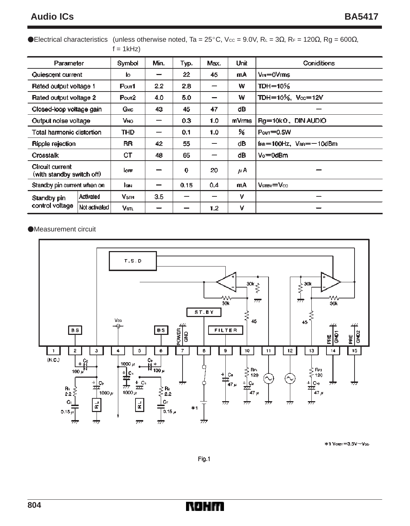### Audio ICs BA5417

Electrical characteristics (unless otherwise noted, Ta = 25°C, Vcc = 9.0V, R∟ = 3Ω, RF = 120Ω, Rg = 600Ω,  $f = 1kHz$ 

| Parameter                                    |               | Symbol                 | Min. | Typ.        | Max.             | Unit  | <b>Coniditions</b>                                    |
|----------------------------------------------|---------------|------------------------|------|-------------|------------------|-------|-------------------------------------------------------|
| Quiescent current                            |               | ю                      |      | 22          | 45               | mA    | $V_{IN} = 0 V$ ms                                     |
| Rated output voltage 1                       |               | P <sub>OUT</sub> 1     | 2.2  | 2.8         |                  | w     | TDH=10 $%$                                            |
| Rated output voltage 2                       |               | P <sub>out2</sub>      | 4.0  | 5.0         | -                | w     | TDH=10%, $V_{\infty}$ =12V                            |
| Closed-loop voltage gain                     |               | Gvc                    | 43   | 45          | 47               | dB    |                                                       |
| Output noise voltage                         |               | V <sub>NO</sub>        |      | 0.3         | 1.0              | mVrms | $Rg = 10k\Omega$ , DIN AUDIO                          |
| Total harmonic distortion                    |               | THD                    |      | 0.1         | 1.0              | ℅     | $Pov = 0.5W$                                          |
| Ripple rejection                             |               | RR                     | 42   | 55          |                  | dB    | $f_{\text{fRB}} = 100$ Hz, $V_{\text{fRB}} = -10$ dBm |
| Crosstalk                                    |               | СT                     | 48   | 65          |                  | dB    | $Vo = 0$ dBm                                          |
| Circuit current<br>(with standby switch off) |               | $I$ <sub>OFF</sub>     |      | $\mathbf 0$ | 20               | μA    |                                                       |
| Standby pin current when on                  |               | lsin.                  |      | 0.15        | 0.4              | mA    | $V_{\rm SIBY} = V_{\rm CC}$                           |
| Standby pin<br>control voltage               | Activated     | <b>V<sub>STH</sub></b> | 3.5  |             |                  | v     |                                                       |
|                                              | Not activated | Vsti.                  |      |             | 1.2 <sub>2</sub> | v     |                                                       |

Measurement circuit



\*1 Vster=3.5V~Vcc

Fig.1

NOHIT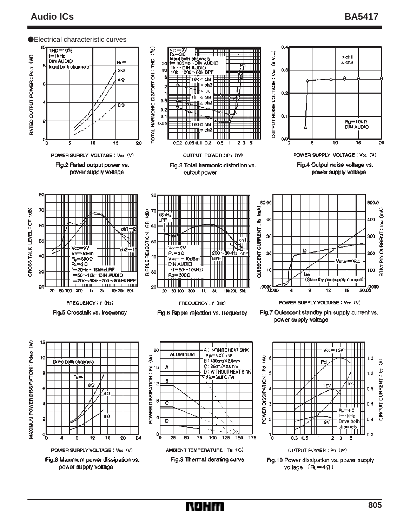## **Audio ICs BA5417**